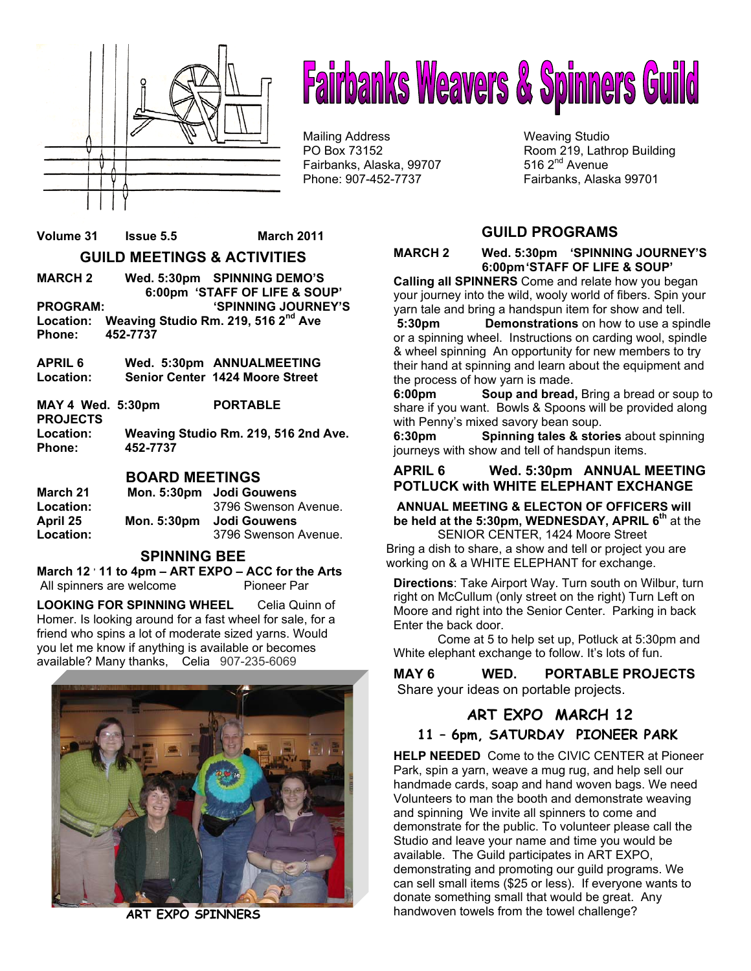

# **Fairbanks Weavers & Spinners Guild**

Mailing Address Weaving Studio Fairbanks, Alaska, 99707 Phone: 907-452-7737 Fairbanks, Alaska 99701

PO Box 73152 Room 219, Lathrop Building<br>
Fairbanks. Alaska. 99707 516 2<sup>nd</sup> Avenue

# **Volume 31 Issue 5.5 March 2011 GUILD MEETINGS & ACTIVITIES**

**MARCH 2 Wed. 5:30pm SPINNING DEMO'S 6:00pm 'STAFF OF LIFE & SOUP' PROGRAM: 'SPINNING JOURNEY'S Location: Weaving Studio Rm. 219, 516 2nd Ave Phone: 452-7737** 

**APRIL 6 Wed. 5:30pm ANNUALMEETING Location: Senior Center 1424 Moore Street** 

**MAY 4 Wed. 5:30pm PORTABLE PROJECTS Location: Weaving Studio Rm. 219, 516 2nd Ave. Phone: 452-7737**

**BOARD MEETINGS**

| March 21  |             | Mon. 5:30pm Jodi Gouwens |
|-----------|-------------|--------------------------|
| Location: |             | 3796 Swenson Avenue.     |
| April 25  | Mon. 5:30pm | <b>Jodi Gouwens</b>      |
| Location: |             | 3796 Swenson Avenue.     |

### **SPINNING BEE**

March 12<sup>,</sup> 11 to 4pm – ART EXPO – ACC for the Arts All spinners are welcome Pioneer Par

**LOOKING FOR SPINNING WHEEL** Celia Quinn of Homer. Is looking around for a fast wheel for sale, for a friend who spins a lot of moderate sized yarns. Would you let me know if anything is available or becomes available? Many thanks,Celia 907-235-6069



**ART EXPO SPINNERS** 

# **GUILD PROGRAMS**

**MARCH 2 Wed. 5:30pm 'SPINNING JOURNEY'S 6:00pm 'STAFF OF LIFE & SOUP'** 

**Calling all SPINNERS** Come and relate how you began your journey into the wild, wooly world of fibers. Spin your yarn tale and bring a handspun item for show and tell.

**5:30pm Demonstrations** on how to use a spindle or a spinning wheel. Instructions on carding wool, spindle & wheel spinning An opportunity for new members to try their hand at spinning and learn about the equipment and the process of how yarn is made.

**6:00pm Soup and bread,** Bring a bread or soup to share if you want. Bowls & Spoons will be provided along with Penny's mixed savory bean soup.

**6:30pm Spinning tales & stories** about spinning journeys with show and tell of handspun items.

#### **APRIL 6 Wed. 5:30pm ANNUAL MEETING POTLUCK with WHITE ELEPHANT EXCHANGE**

 **ANNUAL MEETING & ELECTON OF OFFICERS will be held at the 5:30pm, WEDNESDAY, APRIL 6th** at the SENIOR CENTER, 1424 Moore Street

Bring a dish to share, a show and tell or project you are working on & a WHITE ELEPHANT for exchange.

**Directions**: Take Airport Way. Turn south on Wilbur, turn right on McCullum (only street on the right) Turn Left on Moore and right into the Senior Center. Parking in back Enter the back door.

Come at 5 to help set up, Potluck at 5:30pm and White elephant exchange to follow. It's lots of fun.

#### **MAY 6 WED. PORTABLE PROJECTS**  Share your ideas on portable projects.

# **ART EXPO MARCH 12**

## **11 – 6pm, SATURDAY PIONEER PARK**

**HELP NEEDED** Come to the CIVIC CENTER at Pioneer Park, spin a yarn, weave a mug rug, and help sell our handmade cards, soap and hand woven bags. We need Volunteers to man the booth and demonstrate weaving and spinning We invite all spinners to come and demonstrate for the public. To volunteer please call the Studio and leave your name and time you would be available. The Guild participates in ART EXPO, demonstrating and promoting our guild programs. We can sell small items (\$25 or less). If everyone wants to donate something small that would be great. Any handwoven towels from the towel challenge?